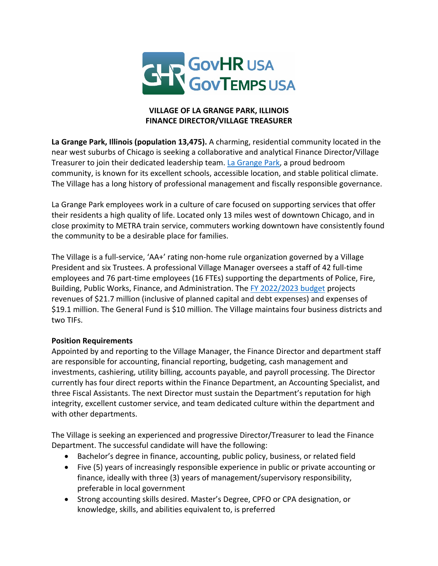

## **VILLAGE OF LA GRANGE PARK, ILLINOIS FINANCE DIRECTOR/VILLAGE TREASURER**

**La Grange Park, Illinois (population 13,475).** A charming, residential community located in the near west suburbs of Chicago is seeking a collaborative and analytical Finance Director/Village Treasurer to join their dedicated leadership team. La Grange Park, a proud bedroom community, is known for its excellent schools, accessible location, and stable political climate. The Village has a long history of professional management and fiscally responsible governance.

La Grange Park employees work in a culture of care focused on supporting services that offer their residents a high quality of life. Located only 13 miles west of downtown Chicago, and in close proximity to METRA train service, commuters working downtown have consistently found the community to be a desirable place for families.

The Village is a full-service, 'AA+' rating non-home rule organization governed by a Village President and six Trustees. A professional Village Manager oversees a staff of 42 full-time employees and 76 part-time employees (16 FTEs) supporting the departments of Police, Fire, Building, Public Works, Finance, and Administration. The FY 2022/2023 budget projects revenues of \$21.7 million (inclusive of planned capital and debt expenses) and expenses of \$19.1 million. The General Fund is \$10 million. The Village maintains four business districts and two TIFs.

## **Position Requirements**

Appointed by and reporting to the Village Manager, the Finance Director and department staff are responsible for accounting, financial reporting, budgeting, cash management and investments, cashiering, utility billing, accounts payable, and payroll processing. The Director currently has four direct reports within the Finance Department, an Accounting Specialist, and three Fiscal Assistants. The next Director must sustain the Department's reputation for high integrity, excellent customer service, and team dedicated culture within the department and with other departments.

The Village is seeking an experienced and progressive Director/Treasurer to lead the Finance Department. The successful candidate will have the following:

- Bachelor's degree in finance, accounting, public policy, business, or related field
- Five (5) years of increasingly responsible experience in public or private accounting or finance, ideally with three (3) years of management/supervisory responsibility, preferable in local government
- Strong accounting skills desired. Master's Degree, CPFO or CPA designation, or knowledge, skills, and abilities equivalent to, is preferred